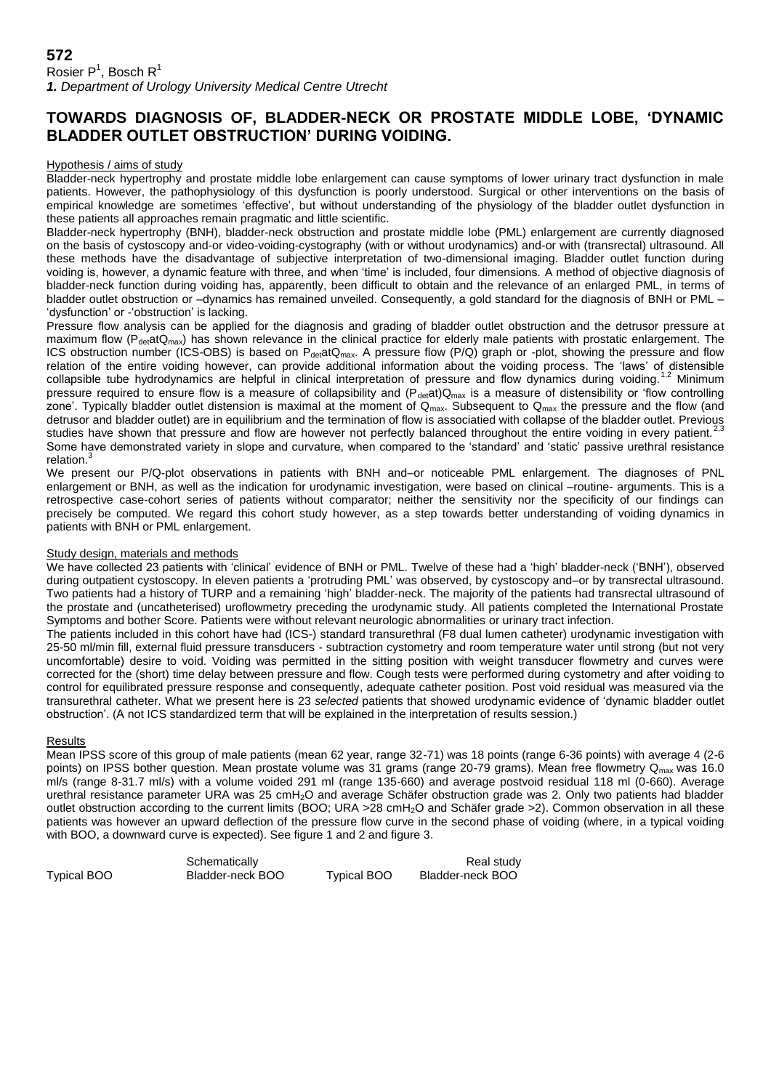# **TOWARDS DIAGNOSIS OF, BLADDER-NECK OR PROSTATE MIDDLE LOBE, 'DYNAMIC BLADDER OUTLET OBSTRUCTION' DURING VOIDING.**

### Hypothesis / aims of study

Bladder-neck hypertrophy and prostate middle lobe enlargement can cause symptoms of lower urinary tract dysfunction in male patients. However, the pathophysiology of this dysfunction is poorly understood. Surgical or other interventions on the basis of empirical knowledge are sometimes 'effective', but without understanding of the physiology of the bladder outlet dysfunction in these patients all approaches remain pragmatic and little scientific.

Bladder-neck hypertrophy (BNH), bladder-neck obstruction and prostate middle lobe (PML) enlargement are currently diagnosed on the basis of cystoscopy and-or video-voiding-cystography (with or without urodynamics) and-or with (transrectal) ultrasound. All these methods have the disadvantage of subjective interpretation of two-dimensional imaging. Bladder outlet function during voiding is, however, a dynamic feature with three, and when 'time' is included, four dimensions. A method of objective diagnosis of bladder-neck function during voiding has, apparently, been difficult to obtain and the relevance of an enlarged PML, in terms of bladder outlet obstruction or –dynamics has remained unveiled. Consequently, a gold standard for the diagnosis of BNH or PML – 'dysfunction' or -'obstruction' is lacking.

Pressure flow analysis can be applied for the diagnosis and grading of bladder outlet obstruction and the detrusor pressure at maximum flow (P<sub>det</sub>atQ<sub>max</sub>) has shown relevance in the clinical practice for elderly male patients with prostatic enlargement. The ICS obstruction number (ICS-OBS) is based on  $P_{\text{det}}$ atQ<sub>max</sub>. A pressure flow (P/Q) graph or -plot, showing the pressure and flow relation of the entire voiding however, can provide additional information about the voiding process. The 'laws' of distensible collapsible tube hydrodynamics are helpful in clinical interpretation of pressure and flow dynamics during voiding.<sup>1,2</sup> Minimum pressure required to ensure flow is a measure of collapsibility and  $(P_{\text{det}}at)Q_{\text{max}}$  is a measure of distensibility or 'flow controlling zone'. Typically bladder outlet distension is maximal at the moment of  $Q_{max}$ . Subsequent to  $Q_{max}$  the pressure and the flow (and zone. Typically bladder outlet) are in equilibrium and the termination of flow is associatied with collapse of the bladder outlet. Previous detrusor and bladder outlet. Previous studies have shown that pressure and flow are however not perfectly balanced throughout the entire voiding in every patient.<sup>2</sup> Some have demonstrated variety in slope and curvature, when compared to the 'standard' and 'static' passive urethral resistance relation.<sup>3</sup>

We present our P/Q-plot observations in patients with BNH and–or noticeable PML enlargement. The diagnoses of PNL enlargement or BNH, as well as the indication for urodynamic investigation, were based on clinical –routine- arguments. This is a retrospective case-cohort series of patients without comparator; neither the sensitivity nor the specificity of our findings can precisely be computed. We regard this cohort study however, as a step towards better understanding of voiding dynamics in patients with BNH or PML enlargement.

# Study design, materials and methods

We have collected 23 patients with 'clinical' evidence of BNH or PML. Twelve of these had a 'high' bladder-neck ('BNH'), observed during outpatient cystoscopy. In eleven patients a 'protruding PML' was observed, by cystoscopy and–or by transrectal ultrasound. Two patients had a history of TURP and a remaining 'high' bladder-neck. The majority of the patients had transrectal ultrasound of the prostate and (uncatheterised) uroflowmetry preceding the urodynamic study. All patients completed the International Prostate Symptoms and bother Score. Patients were without relevant neurologic abnormalities or urinary tract infection.

The patients included in this cohort have had (ICS-) standard transurethral (F8 dual lumen catheter) urodynamic investigation with 25-50 ml/min fill, external fluid pressure transducers - subtraction cystometry and room temperature water until strong (but not very uncomfortable) desire to void. Voiding was permitted in the sitting position with weight transducer flowmetry and curves were corrected for the (short) time delay between pressure and flow. Cough tests were performed during cystometry and after voiding to control for equilibrated pressure response and consequently, adequate catheter position. Post void residual was measured via the transurethral catheter. What we present here is 23 *selected* patients that showed urodynamic evidence of 'dynamic bladder outlet obstruction'. (A not ICS standardized term that will be explained in the interpretation of results session.)

# Results

Mean IPSS score of this group of male patients (mean 62 year, range 32-71) was 18 points (range 6-36 points) with average 4 (2-6 points) on IPSS bother question. Mean prostate volume was 31 grams (range 20-79 grams). Mean free flowmetry Q<sub>max</sub> was 16.0 ml/s (range 8-31.7 ml/s) with a volume voided 291 ml (range 135-660) and average postvoid residual 118 ml (0-660). Average urethral resistance parameter URA was 25 cmH<sub>2</sub>O and average Schäfer obstruction grade was 2. Only two patients had bladder outlet obstruction according to the current limits (BOO; URA >28 cmH<sub>2</sub>O and Schäfer grade >2). Common observation in all these patients was however an upward deflection of the pressure flow curve in the second phase of voiding (where, in a typical voiding with BOO, a downward curve is expected). See figure 1 and 2 and figure 3.

|             | Schematically    |                    | Real study       |
|-------------|------------------|--------------------|------------------|
| Typical BOO | Bladder-neck BOO | <b>Typical BOO</b> | Bladder-neck BOO |